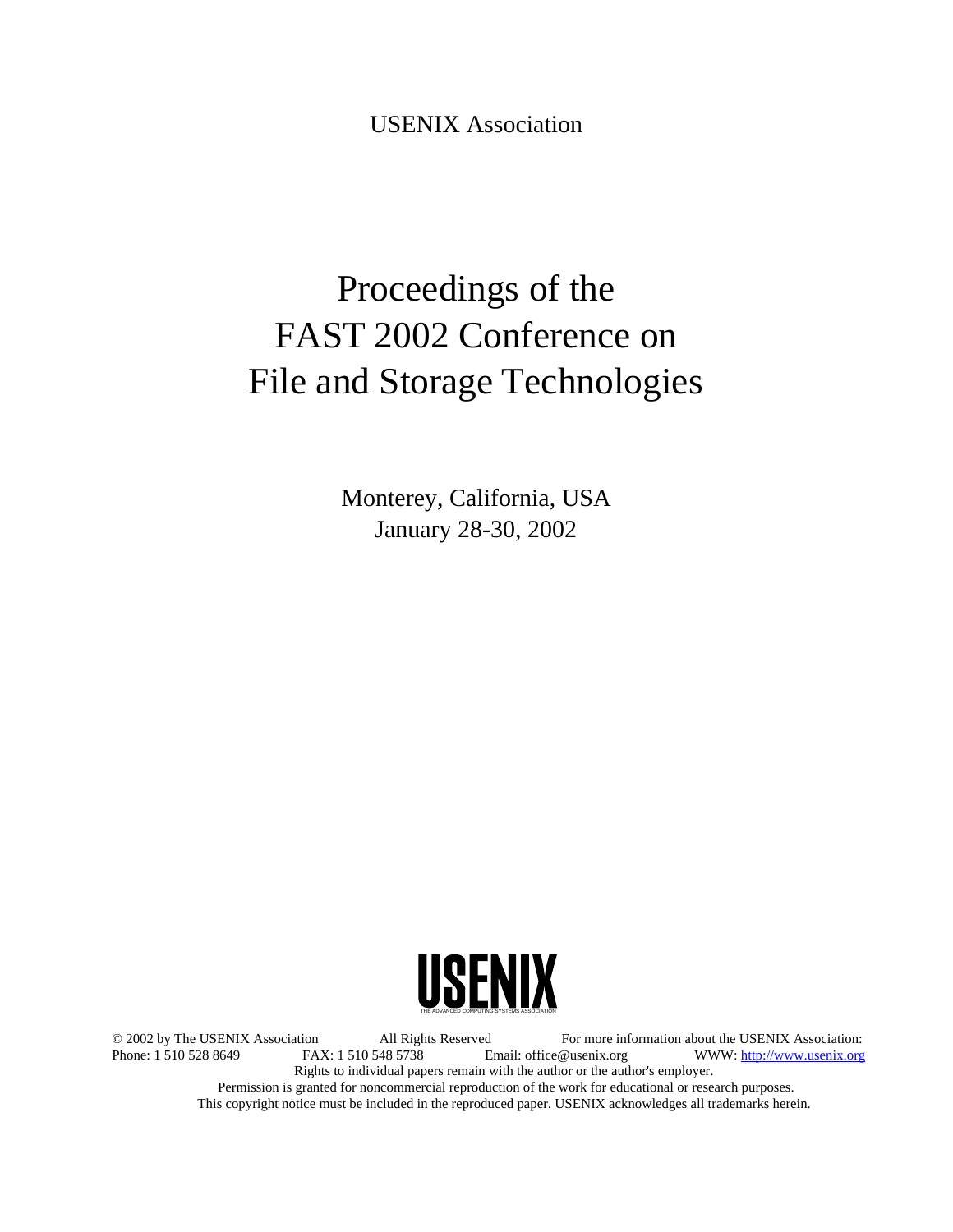USENIX Association

# Proceedings of the FAST 2002 Conference on File and Storage Technologies

Monterey, California, USA January 28-30, 2002



© 2002 by The USENIX Association All Rights Reserved For more information about the USENIX Association: Phone: 1 510 548 5738 Fax: 1 510 548 5738 Email: office@usenix.org WWW: http://www.usenix.org Rights to individual papers remain with the author or the author's employer. Permission is granted for noncommercial reproduction of the work for educational or research purposes. This copyright notice must be included in the reproduced paper. USENIX acknowledges all trademarks herein.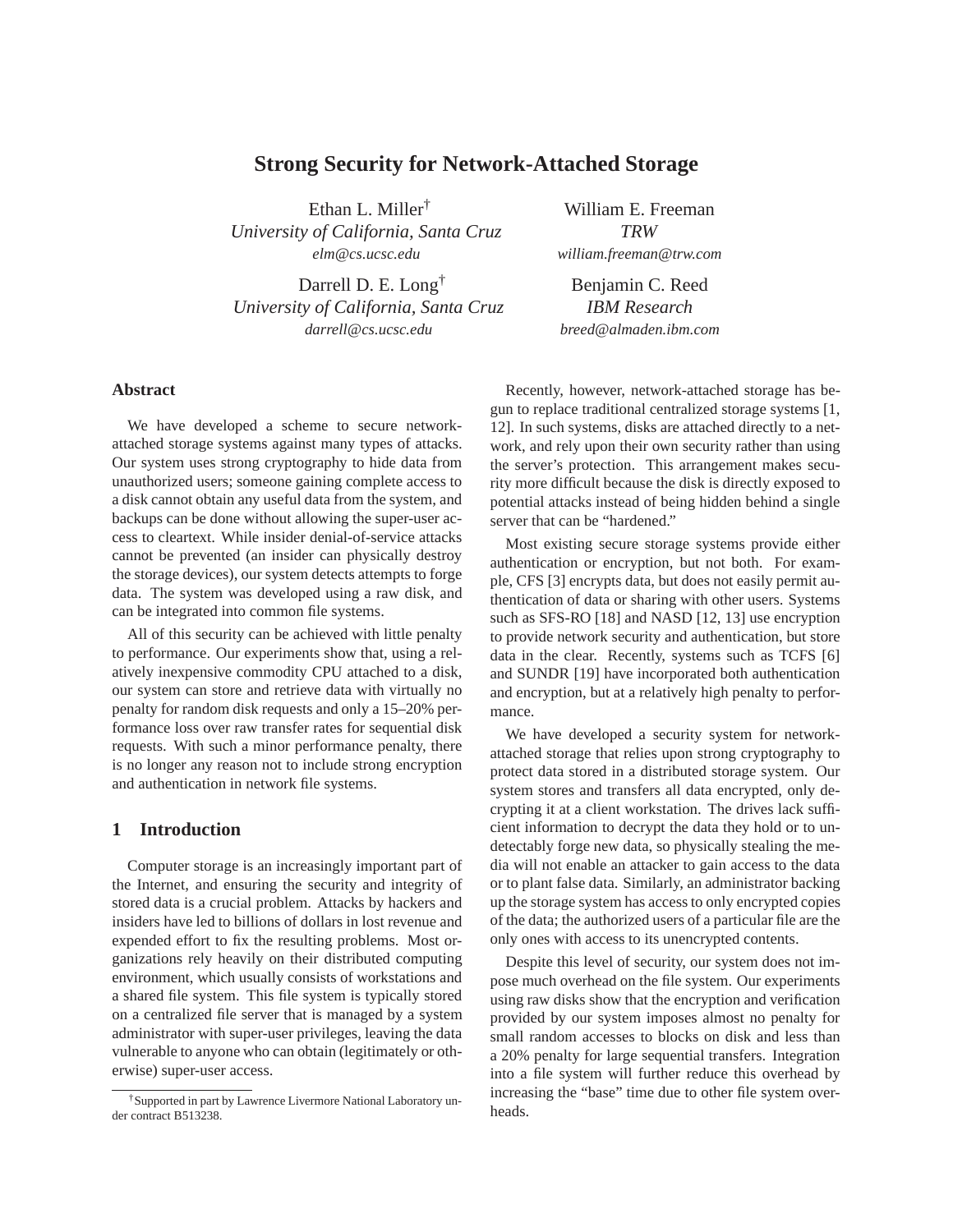# **Strong Security for Network-Attached Storage**

Ethan L. Miller† *University of California, Santa Cruz elm@cs.ucsc.edu*

Darrell D. E. Long† *University of California, Santa Cruz darrell@cs.ucsc.edu*

**Abstract**

We have developed a scheme to secure networkattached storage systems against many types of attacks. Our system uses strong cryptography to hide data from unauthorized users; someone gaining complete access to a disk cannot obtain any useful data from the system, and backups can be done without allowing the super-user access to cleartext. While insider denial-of-service attacks cannot be prevented (an insider can physically destroy the storage devices), our system detects attempts to forge data. The system was developed using a raw disk, and can be integrated into common file systems.

All of this security can be achieved with little penalty to performance. Our experiments show that, using a relatively inexpensive commodity CPU attached to a disk, our system can store and retrieve data with virtually no penalty for random disk requests and only a 15–20% performance loss over raw transfer rates for sequential disk requests. With such a minor performance penalty, there is no longer any reason not to include strong encryption and authentication in network file systems.

# **1 Introduction**

Computer storage is an increasingly important part of the Internet, and ensuring the security and integrity of stored data is a crucial problem. Attacks by hackers and insiders have led to billions of dollars in lost revenue and expended effort to fix the resulting problems. Most organizations rely heavily on their distributed computing environment, which usually consists of workstations and a shared file system. This file system is typically stored on a centralized file server that is managed by a system administrator with super-user privileges, leaving the data vulnerable to anyone who can obtain (legitimately or otherwise) super-user access.

William E. Freeman *TRW william.freeman@trw.com*

Benjamin C. Reed *IBM Research breed@almaden.ibm.com*

Recently, however, network-attached storage has begun to replace traditional centralized storage systems [1, 12]. In such systems, disks are attached directly to a network, and rely upon their own security rather than using the server's protection. This arrangement makes security more difficult because the disk is directly exposed to potential attacks instead of being hidden behind a single server that can be "hardened."

Most existing secure storage systems provide either authentication or encryption, but not both. For example, CFS [3] encrypts data, but does not easily permit authentication of data or sharing with other users. Systems such as SFS-RO [18] and NASD [12, 13] use encryption to provide network security and authentication, but store data in the clear. Recently, systems such as TCFS [6] and SUNDR [19] have incorporated both authentication and encryption, but at a relatively high penalty to performance.

We have developed a security system for networkattached storage that relies upon strong cryptography to protect data stored in a distributed storage system. Our system stores and transfers all data encrypted, only decrypting it at a client workstation. The drives lack sufficient information to decrypt the data they hold or to undetectably forge new data, so physically stealing the media will not enable an attacker to gain access to the data or to plant false data. Similarly, an administrator backing up the storage system has access to only encrypted copies of the data; the authorized users of a particular file are the only ones with access to its unencrypted contents.

Despite this level of security, our system does not impose much overhead on the file system. Our experiments using raw disks show that the encryption and verification provided by our system imposes almost no penalty for small random accesses to blocks on disk and less than a 20% penalty for large sequential transfers. Integration into a file system will further reduce this overhead by increasing the "base" time due to other file system overheads.

<sup>†</sup>Supported in part by Lawrence Livermore National Laboratory under contract B513238.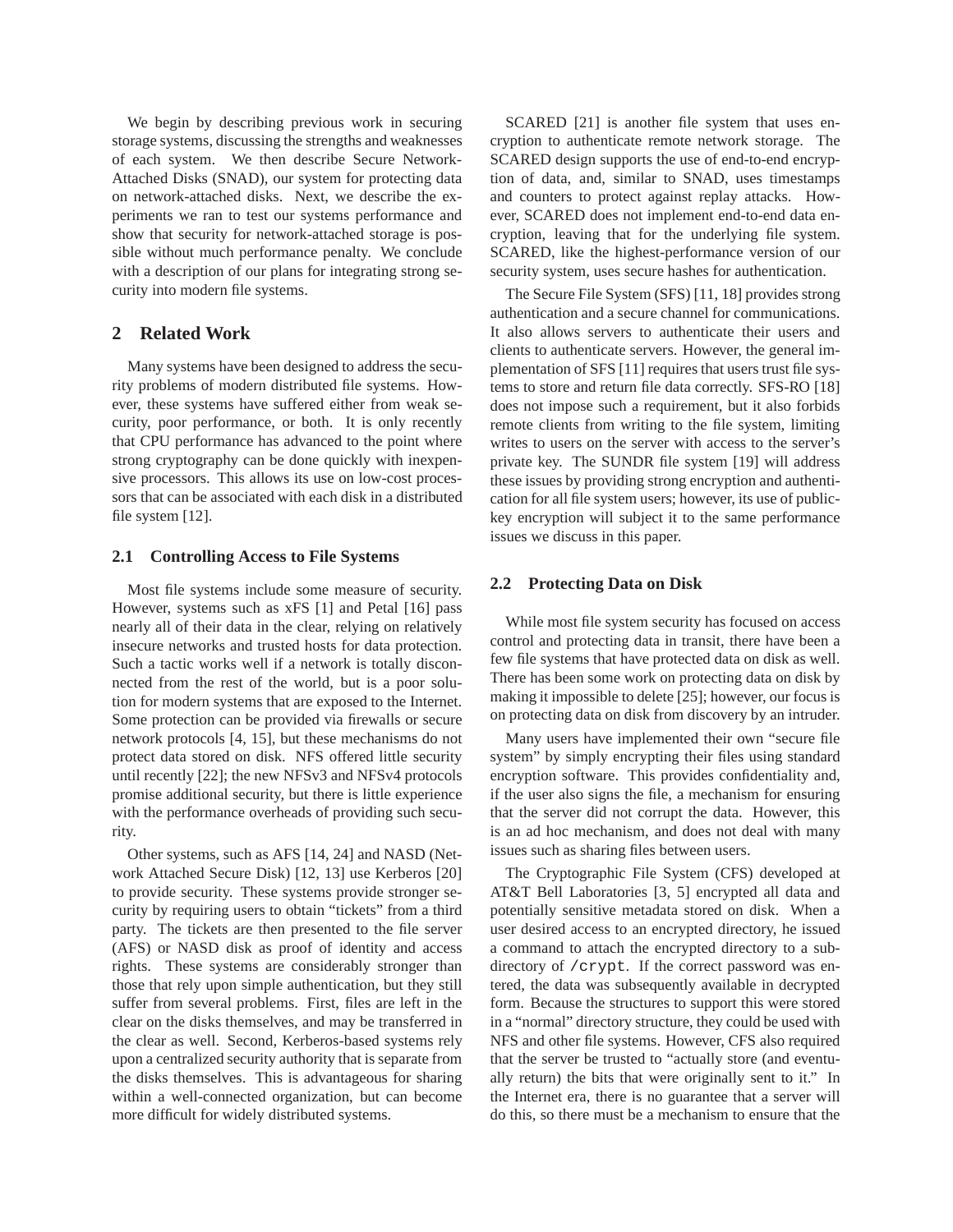We begin by describing previous work in securing storage systems, discussing the strengths and weaknesses of each system. We then describe Secure Network-Attached Disks (SNAD), our system for protecting data on network-attached disks. Next, we describe the experiments we ran to test our systems performance and show that security for network-attached storage is possible without much performance penalty. We conclude with a description of our plans for integrating strong security into modern file systems.

# **2 Related Work**

Many systems have been designed to address the security problems of modern distributed file systems. However, these systems have suffered either from weak security, poor performance, or both. It is only recently that CPU performance has advanced to the point where strong cryptography can be done quickly with inexpensive processors. This allows its use on low-cost processors that can be associated with each disk in a distributed file system [12].

#### **2.1 Controlling Access to File Systems**

Most file systems include some measure of security. However, systems such as xFS [1] and Petal [16] pass nearly all of their data in the clear, relying on relatively insecure networks and trusted hosts for data protection. Such a tactic works well if a network is totally disconnected from the rest of the world, but is a poor solution for modern systems that are exposed to the Internet. Some protection can be provided via firewalls or secure network protocols [4, 15], but these mechanisms do not protect data stored on disk. NFS offered little security until recently [22]; the new NFSv3 and NFSv4 protocols promise additional security, but there is little experience with the performance overheads of providing such security.

Other systems, such as AFS [14, 24] and NASD (Network Attached Secure Disk) [12, 13] use Kerberos [20] to provide security. These systems provide stronger security by requiring users to obtain "tickets" from a third party. The tickets are then presented to the file server (AFS) or NASD disk as proof of identity and access rights. These systems are considerably stronger than those that rely upon simple authentication, but they still suffer from several problems. First, files are left in the clear on the disks themselves, and may be transferred in the clear as well. Second, Kerberos-based systems rely upon a centralized security authority that is separate from the disks themselves. This is advantageous for sharing within a well-connected organization, but can become more difficult for widely distributed systems.

SCARED [21] is another file system that uses encryption to authenticate remote network storage. The SCARED design supports the use of end-to-end encryption of data, and, similar to SNAD, uses timestamps and counters to protect against replay attacks. However, SCARED does not implement end-to-end data encryption, leaving that for the underlying file system. SCARED, like the highest-performance version of our security system, uses secure hashes for authentication.

The Secure File System (SFS) [11, 18] provides strong authentication and a secure channel for communications. It also allows servers to authenticate their users and clients to authenticate servers. However, the general implementation of SFS [11] requires that users trust file systems to store and return file data correctly. SFS-RO [18] does not impose such a requirement, but it also forbids remote clients from writing to the file system, limiting writes to users on the server with access to the server's private key. The SUNDR file system [19] will address these issues by providing strong encryption and authentication for all file system users; however, its use of publickey encryption will subject it to the same performance issues we discuss in this paper.

#### **2.2 Protecting Data on Disk**

While most file system security has focused on access control and protecting data in transit, there have been a few file systems that have protected data on disk as well. There has been some work on protecting data on disk by making it impossible to delete [25]; however, our focus is on protecting data on disk from discovery by an intruder.

Many users have implemented their own "secure file system" by simply encrypting their files using standard encryption software. This provides confidentiality and, if the user also signs the file, a mechanism for ensuring that the server did not corrupt the data. However, this is an ad hoc mechanism, and does not deal with many issues such as sharing files between users.

The Cryptographic File System (CFS) developed at AT&T Bell Laboratories [3, 5] encrypted all data and potentially sensitive metadata stored on disk. When a user desired access to an encrypted directory, he issued a command to attach the encrypted directory to a subdirectory of /crypt. If the correct password was entered, the data was subsequently available in decrypted form. Because the structures to support this were stored in a "normal" directory structure, they could be used with NFS and other file systems. However, CFS also required that the server be trusted to "actually store (and eventually return) the bits that were originally sent to it." In the Internet era, there is no guarantee that a server will do this, so there must be a mechanism to ensure that the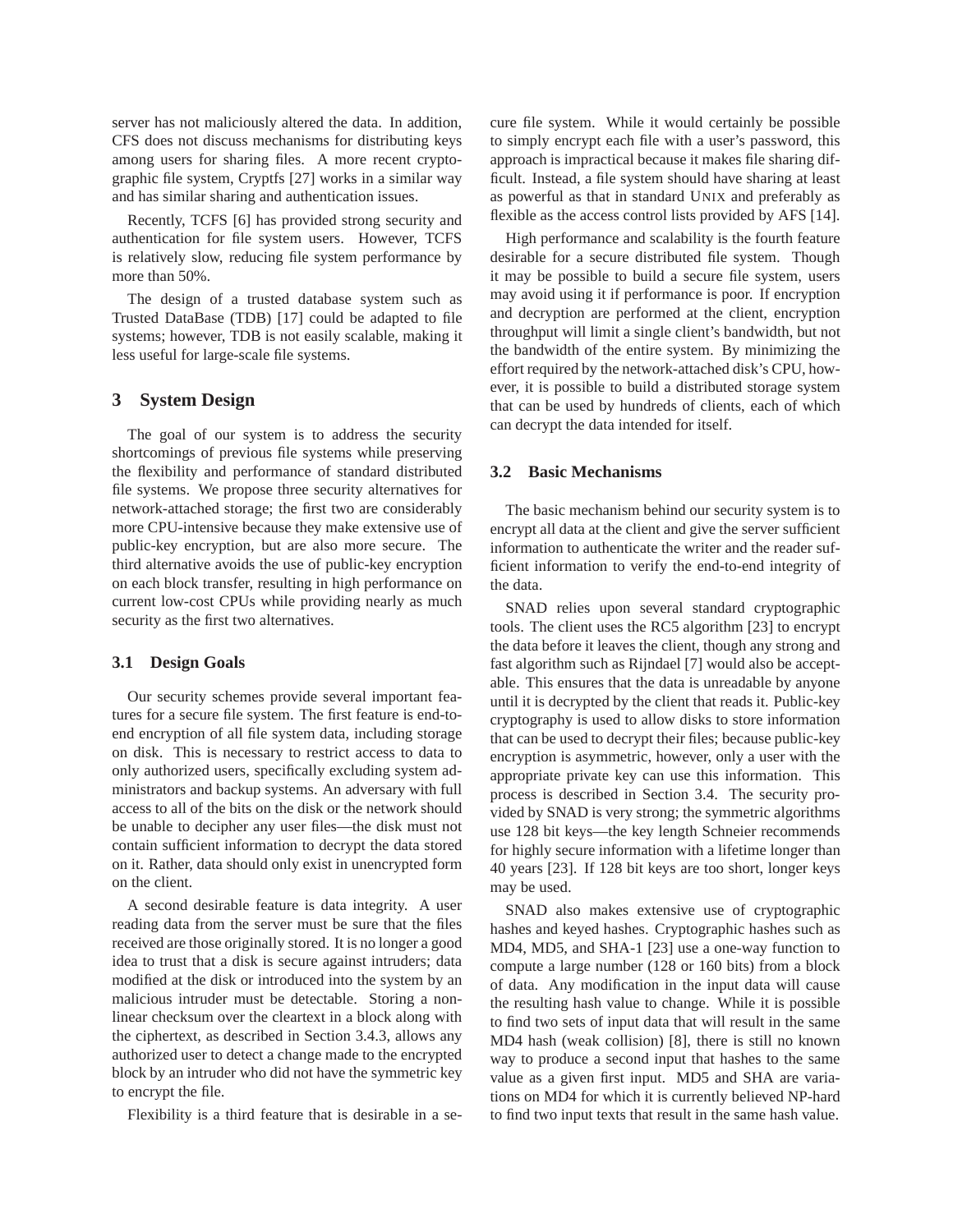server has not maliciously altered the data. In addition, CFS does not discuss mechanisms for distributing keys among users for sharing files. A more recent cryptographic file system, Cryptfs [27] works in a similar way and has similar sharing and authentication issues.

Recently, TCFS [6] has provided strong security and authentication for file system users. However, TCFS is relatively slow, reducing file system performance by more than 50%.

The design of a trusted database system such as Trusted DataBase (TDB) [17] could be adapted to file systems; however, TDB is not easily scalable, making it less useful for large-scale file systems.

## **3 System Design**

The goal of our system is to address the security shortcomings of previous file systems while preserving the flexibility and performance of standard distributed file systems. We propose three security alternatives for network-attached storage; the first two are considerably more CPU-intensive because they make extensive use of public-key encryption, but are also more secure. The third alternative avoids the use of public-key encryption on each block transfer, resulting in high performance on current low-cost CPUs while providing nearly as much security as the first two alternatives.

# **3.1 Design Goals**

Our security schemes provide several important features for a secure file system. The first feature is end-toend encryption of all file system data, including storage on disk. This is necessary to restrict access to data to only authorized users, specifically excluding system administrators and backup systems. An adversary with full access to all of the bits on the disk or the network should be unable to decipher any user files—the disk must not contain sufficient information to decrypt the data stored on it. Rather, data should only exist in unencrypted form on the client.

A second desirable feature is data integrity. A user reading data from the server must be sure that the files received are those originally stored. It is no longer a good idea to trust that a disk is secure against intruders; data modified at the disk or introduced into the system by an malicious intruder must be detectable. Storing a nonlinear checksum over the cleartext in a block along with the ciphertext, as described in Section 3.4.3, allows any authorized user to detect a change made to the encrypted block by an intruder who did not have the symmetric key to encrypt the file.

Flexibility is a third feature that is desirable in a se-

cure file system. While it would certainly be possible to simply encrypt each file with a user's password, this approach is impractical because it makes file sharing difficult. Instead, a file system should have sharing at least as powerful as that in standard UNIX and preferably as flexible as the access control lists provided by AFS [14].

High performance and scalability is the fourth feature desirable for a secure distributed file system. Though it may be possible to build a secure file system, users may avoid using it if performance is poor. If encryption and decryption are performed at the client, encryption throughput will limit a single client's bandwidth, but not the bandwidth of the entire system. By minimizing the effort required by the network-attached disk's CPU, however, it is possible to build a distributed storage system that can be used by hundreds of clients, each of which can decrypt the data intended for itself.

#### **3.2 Basic Mechanisms**

The basic mechanism behind our security system is to encrypt all data at the client and give the server sufficient information to authenticate the writer and the reader sufficient information to verify the end-to-end integrity of the data.

SNAD relies upon several standard cryptographic tools. The client uses the RC5 algorithm [23] to encrypt the data before it leaves the client, though any strong and fast algorithm such as Rijndael [7] would also be acceptable. This ensures that the data is unreadable by anyone until it is decrypted by the client that reads it. Public-key cryptography is used to allow disks to store information that can be used to decrypt their files; because public-key encryption is asymmetric, however, only a user with the appropriate private key can use this information. This process is described in Section 3.4. The security provided by SNAD is very strong; the symmetric algorithms use 128 bit keys—the key length Schneier recommends for highly secure information with a lifetime longer than 40 years [23]. If 128 bit keys are too short, longer keys may be used.

SNAD also makes extensive use of cryptographic hashes and keyed hashes. Cryptographic hashes such as MD4, MD5, and SHA-1 [23] use a one-way function to compute a large number (128 or 160 bits) from a block of data. Any modification in the input data will cause the resulting hash value to change. While it is possible to find two sets of input data that will result in the same MD4 hash (weak collision) [8], there is still no known way to produce a second input that hashes to the same value as a given first input. MD5 and SHA are variations on MD4 for which it is currently believed NP-hard to find two input texts that result in the same hash value.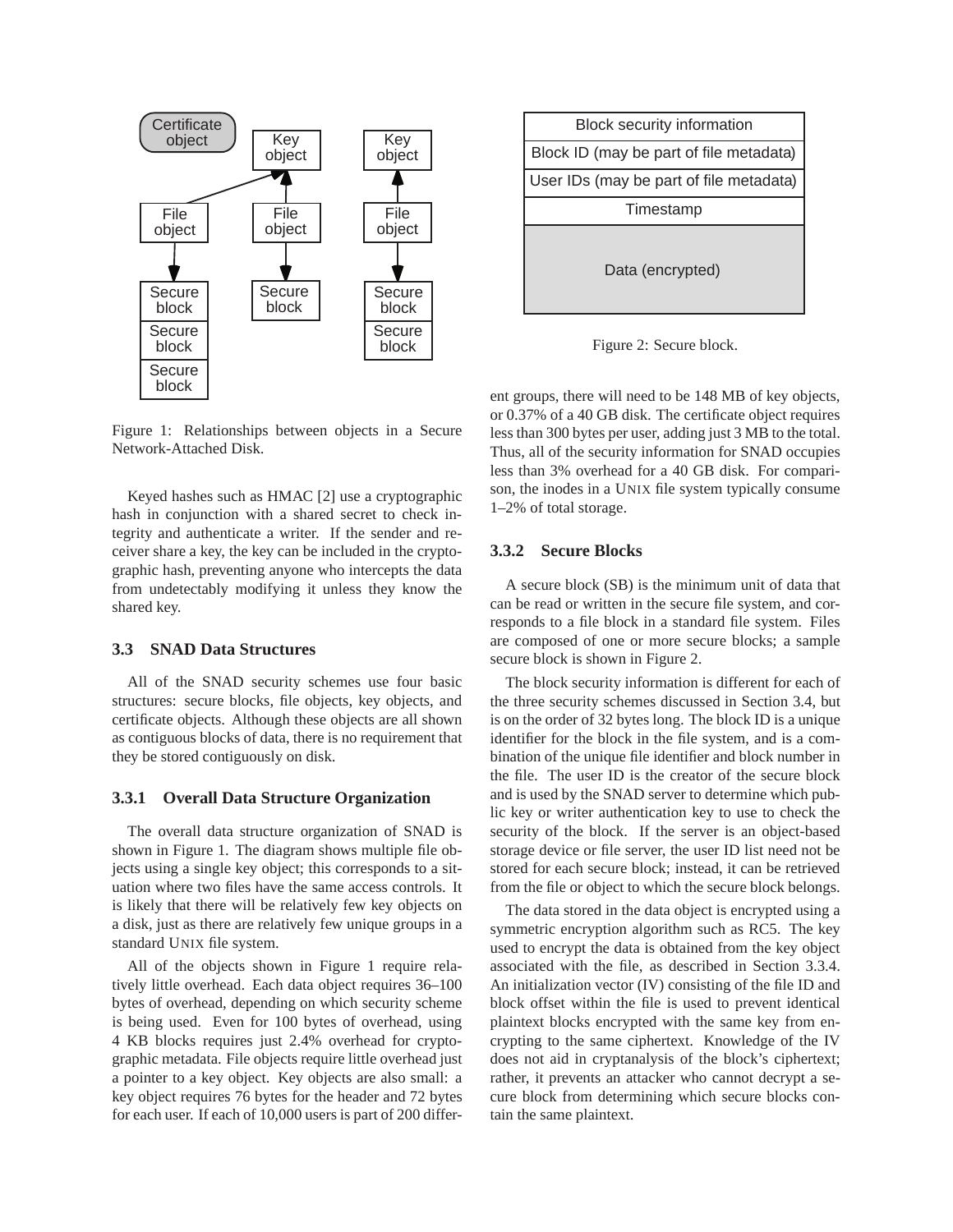

Figure 1: Relationships between objects in a Secure Network-Attached Disk.

Keyed hashes such as HMAC [2] use a cryptographic hash in conjunction with a shared secret to check integrity and authenticate a writer. If the sender and receiver share a key, the key can be included in the cryptographic hash, preventing anyone who intercepts the data from undetectably modifying it unless they know the shared key.

## **3.3 SNAD Data Structures**

All of the SNAD security schemes use four basic structures: secure blocks, file objects, key objects, and certificate objects. Although these objects are all shown as contiguous blocks of data, there is no requirement that they be stored contiguously on disk.

#### **3.3.1 Overall Data Structure Organization**

The overall data structure organization of SNAD is shown in Figure 1. The diagram shows multiple file objects using a single key object; this corresponds to a situation where two files have the same access controls. It is likely that there will be relatively few key objects on a disk, just as there are relatively few unique groups in a standard UNIX file system.

All of the objects shown in Figure 1 require relatively little overhead. Each data object requires 36–100 bytes of overhead, depending on which security scheme is being used. Even for 100 bytes of overhead, using 4 KB blocks requires just 2.4% overhead for cryptographic metadata. File objects require little overhead just a pointer to a key object. Key objects are also small: a key object requires 76 bytes for the header and 72 bytes for each user. If each of 10,000 users is part of 200 differ-



Figure 2: Secure block.

ent groups, there will need to be 148 MB of key objects, or 0.37% of a 40 GB disk. The certificate object requires less than 300 bytes per user, adding just 3 MB to the total. Thus, all of the security information for SNAD occupies less than 3% overhead for a 40 GB disk. For comparison, the inodes in a UNIX file system typically consume 1–2% of total storage.

## **3.3.2 Secure Blocks**

A secure block (SB) is the minimum unit of data that can be read or written in the secure file system, and corresponds to a file block in a standard file system. Files are composed of one or more secure blocks; a sample secure block is shown in Figure 2.

The block security information is different for each of the three security schemes discussed in Section 3.4, but is on the order of 32 bytes long. The block ID is a unique identifier for the block in the file system, and is a combination of the unique file identifier and block number in the file. The user ID is the creator of the secure block and is used by the SNAD server to determine which public key or writer authentication key to use to check the security of the block. If the server is an object-based storage device or file server, the user ID list need not be stored for each secure block; instead, it can be retrieved from the file or object to which the secure block belongs.

The data stored in the data object is encrypted using a symmetric encryption algorithm such as RC5. The key used to encrypt the data is obtained from the key object associated with the file, as described in Section 3.3.4. An initialization vector (IV) consisting of the file ID and block offset within the file is used to prevent identical plaintext blocks encrypted with the same key from encrypting to the same ciphertext. Knowledge of the IV does not aid in cryptanalysis of the block's ciphertext; rather, it prevents an attacker who cannot decrypt a secure block from determining which secure blocks contain the same plaintext.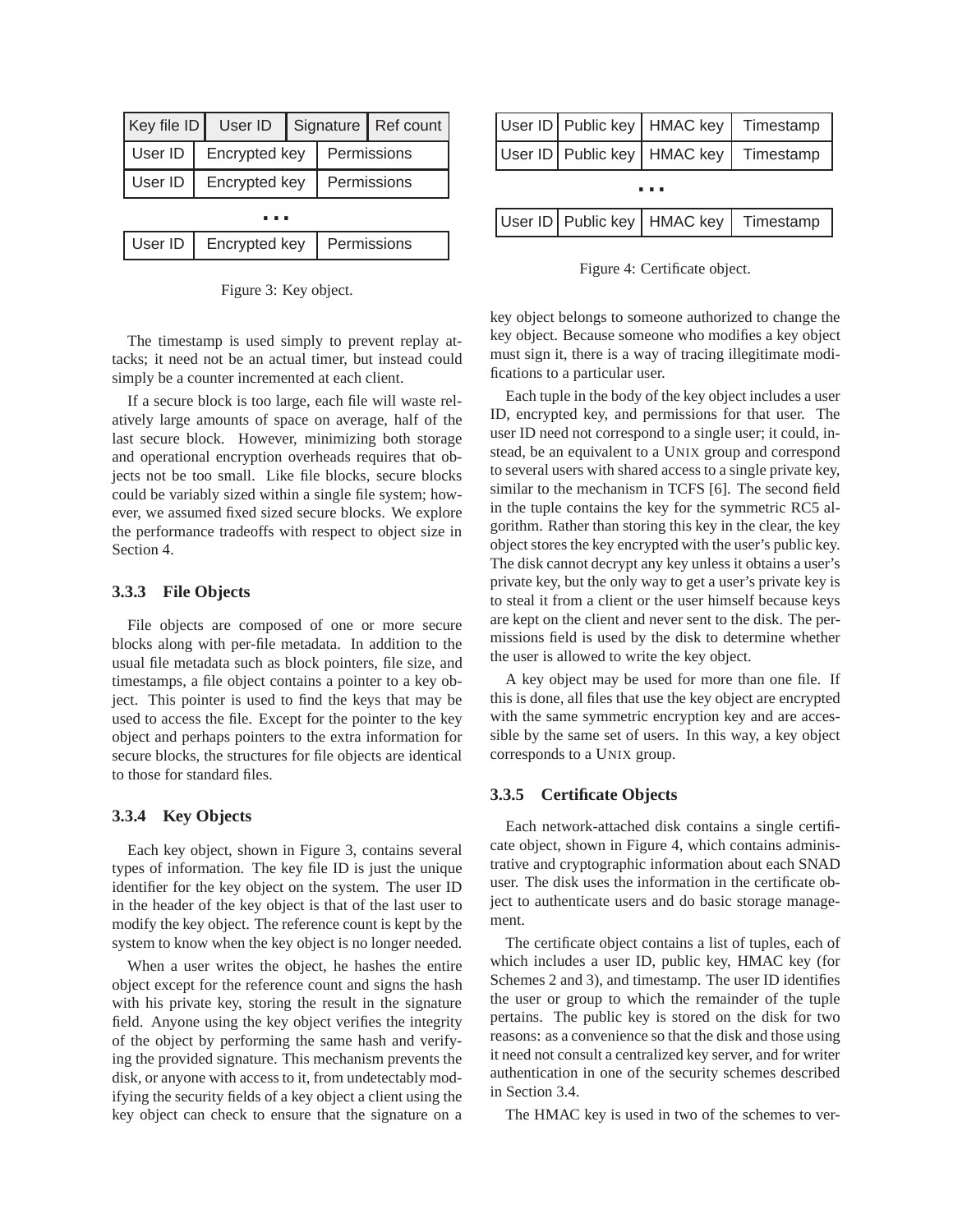| Key file ID | User ID                      |  |  | Signature   Ref count |
|-------------|------------------------------|--|--|-----------------------|
| User ID     | Encrypted key<br>Permissions |  |  |                       |
| User ID     | Encrypted key                |  |  | Permissions           |
|             |                              |  |  |                       |
| User ID     | Encrypted key<br>Permissions |  |  |                       |

Figure 3: Key object.

User ID | Public key | HMAC key | Timestamp User ID | Public key | HMAC key | Timestamp User ID | Public key | HMAC key | Timestamp ...

Figure 4: Certificate object.

key object belongs to someone authorized to change the key object. Because someone who modifies a key object must sign it, there is a way of tracing illegitimate modifications to a particular user.

Each tuple in the body of the key object includes a user ID, encrypted key, and permissions for that user. The user ID need not correspond to a single user; it could, instead, be an equivalent to a UNIX group and correspond to several users with shared access to a single private key, similar to the mechanism in TCFS [6]. The second field in the tuple contains the key for the symmetric RC5 algorithm. Rather than storing this key in the clear, the key object stores the key encrypted with the user's public key. The disk cannot decrypt any key unless it obtains a user's private key, but the only way to get a user's private key is to steal it from a client or the user himself because keys are kept on the client and never sent to the disk. The permissions field is used by the disk to determine whether the user is allowed to write the key object.

A key object may be used for more than one file. If this is done, all files that use the key object are encrypted with the same symmetric encryption key and are accessible by the same set of users. In this way, a key object corresponds to a UNIX group.

#### **3.3.5 Certificate Objects**

Each network-attached disk contains a single certificate object, shown in Figure 4, which contains administrative and cryptographic information about each SNAD user. The disk uses the information in the certificate object to authenticate users and do basic storage management.

The certificate object contains a list of tuples, each of which includes a user ID, public key, HMAC key (for Schemes 2 and 3), and timestamp. The user ID identifies the user or group to which the remainder of the tuple pertains. The public key is stored on the disk for two reasons: as a convenience so that the disk and those using it need not consult a centralized key server, and for writer authentication in one of the security schemes described in Section 3.4.

The HMAC key is used in two of the schemes to ver-

The timestamp is used simply to prevent replay attacks; it need not be an actual timer, but instead could simply be a counter incremented at each client.

If a secure block is too large, each file will waste relatively large amounts of space on average, half of the last secure block. However, minimizing both storage and operational encryption overheads requires that objects not be too small. Like file blocks, secure blocks could be variably sized within a single file system; however, we assumed fixed sized secure blocks. We explore the performance tradeoffs with respect to object size in Section 4.

# **3.3.3 File Objects**

File objects are composed of one or more secure blocks along with per-file metadata. In addition to the usual file metadata such as block pointers, file size, and timestamps, a file object contains a pointer to a key object. This pointer is used to find the keys that may be used to access the file. Except for the pointer to the key object and perhaps pointers to the extra information for secure blocks, the structures for file objects are identical to those for standard files.

#### **3.3.4 Key Objects**

Each key object, shown in Figure 3, contains several types of information. The key file ID is just the unique identifier for the key object on the system. The user ID in the header of the key object is that of the last user to modify the key object. The reference count is kept by the system to know when the key object is no longer needed.

When a user writes the object, he hashes the entire object except for the reference count and signs the hash with his private key, storing the result in the signature field. Anyone using the key object verifies the integrity of the object by performing the same hash and verifying the provided signature. This mechanism prevents the disk, or anyone with access to it, from undetectably modifying the security fields of a key object a client using the key object can check to ensure that the signature on a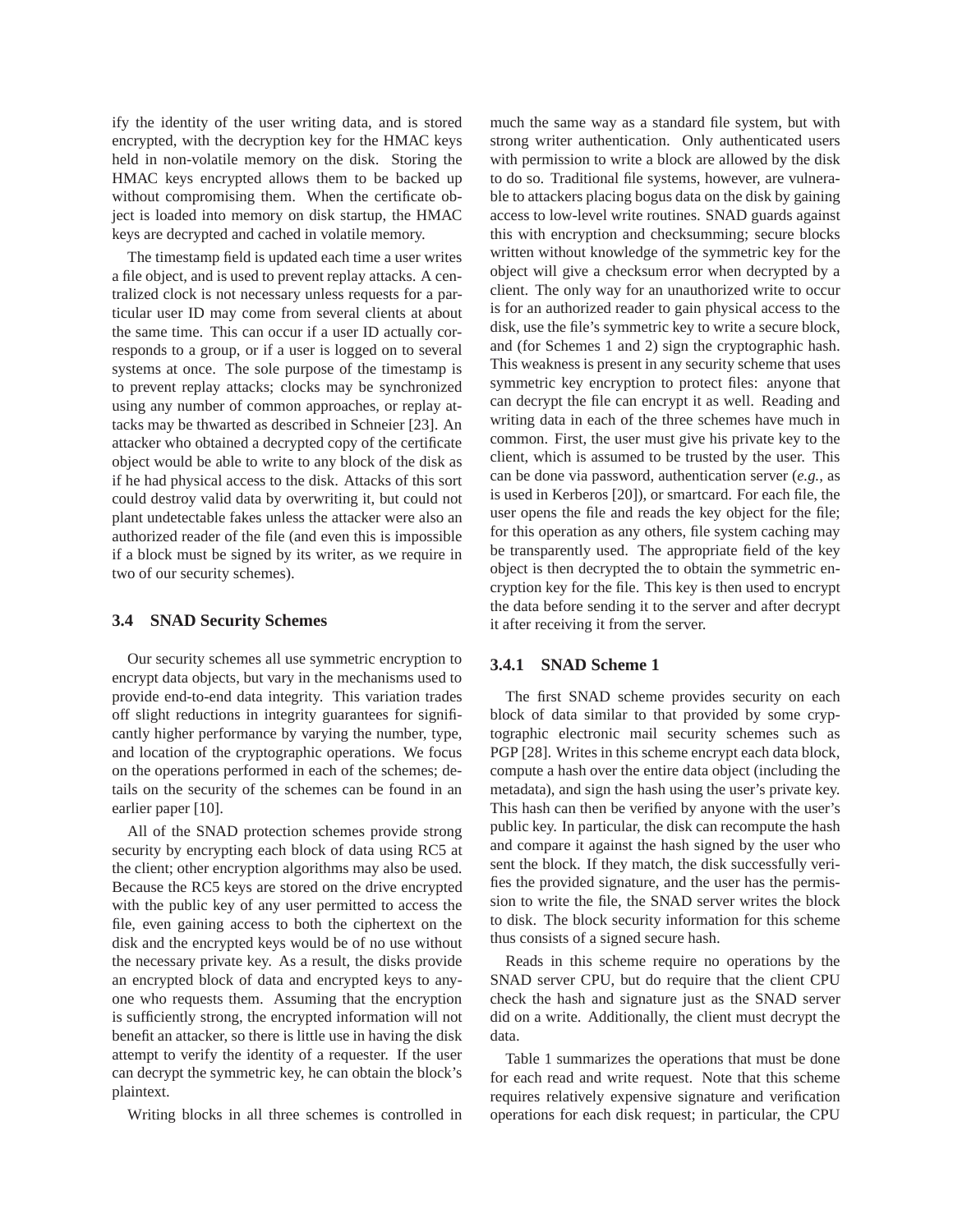ify the identity of the user writing data, and is stored encrypted, with the decryption key for the HMAC keys held in non-volatile memory on the disk. Storing the HMAC keys encrypted allows them to be backed up without compromising them. When the certificate object is loaded into memory on disk startup, the HMAC keys are decrypted and cached in volatile memory.

The timestamp field is updated each time a user writes a file object, and is used to prevent replay attacks. A centralized clock is not necessary unless requests for a particular user ID may come from several clients at about the same time. This can occur if a user ID actually corresponds to a group, or if a user is logged on to several systems at once. The sole purpose of the timestamp is to prevent replay attacks; clocks may be synchronized using any number of common approaches, or replay attacks may be thwarted as described in Schneier [23]. An attacker who obtained a decrypted copy of the certificate object would be able to write to any block of the disk as if he had physical access to the disk. Attacks of this sort could destroy valid data by overwriting it, but could not plant undetectable fakes unless the attacker were also an authorized reader of the file (and even this is impossible if a block must be signed by its writer, as we require in two of our security schemes).

#### **3.4 SNAD Security Schemes**

Our security schemes all use symmetric encryption to encrypt data objects, but vary in the mechanisms used to provide end-to-end data integrity. This variation trades off slight reductions in integrity guarantees for significantly higher performance by varying the number, type, and location of the cryptographic operations. We focus on the operations performed in each of the schemes; details on the security of the schemes can be found in an earlier paper [10].

All of the SNAD protection schemes provide strong security by encrypting each block of data using RC5 at the client; other encryption algorithms may also be used. Because the RC5 keys are stored on the drive encrypted with the public key of any user permitted to access the file, even gaining access to both the ciphertext on the disk and the encrypted keys would be of no use without the necessary private key. As a result, the disks provide an encrypted block of data and encrypted keys to anyone who requests them. Assuming that the encryption is sufficiently strong, the encrypted information will not benefit an attacker, so there is little use in having the disk attempt to verify the identity of a requester. If the user can decrypt the symmetric key, he can obtain the block's plaintext.

Writing blocks in all three schemes is controlled in

much the same way as a standard file system, but with strong writer authentication. Only authenticated users with permission to write a block are allowed by the disk to do so. Traditional file systems, however, are vulnerable to attackers placing bogus data on the disk by gaining access to low-level write routines. SNAD guards against this with encryption and checksumming; secure blocks written without knowledge of the symmetric key for the object will give a checksum error when decrypted by a client. The only way for an unauthorized write to occur is for an authorized reader to gain physical access to the disk, use the file's symmetric key to write a secure block, and (for Schemes 1 and 2) sign the cryptographic hash. This weakness is present in any security scheme that uses symmetric key encryption to protect files: anyone that can decrypt the file can encrypt it as well. Reading and writing data in each of the three schemes have much in common. First, the user must give his private key to the client, which is assumed to be trusted by the user. This can be done via password, authentication server (*e.g.*, as is used in Kerberos [20]), or smartcard. For each file, the user opens the file and reads the key object for the file; for this operation as any others, file system caching may be transparently used. The appropriate field of the key object is then decrypted the to obtain the symmetric encryption key for the file. This key is then used to encrypt the data before sending it to the server and after decrypt it after receiving it from the server.

## **3.4.1 SNAD Scheme 1**

The first SNAD scheme provides security on each block of data similar to that provided by some cryptographic electronic mail security schemes such as PGP [28]. Writes in this scheme encrypt each data block, compute a hash over the entire data object (including the metadata), and sign the hash using the user's private key. This hash can then be verified by anyone with the user's public key. In particular, the disk can recompute the hash and compare it against the hash signed by the user who sent the block. If they match, the disk successfully verifies the provided signature, and the user has the permission to write the file, the SNAD server writes the block to disk. The block security information for this scheme thus consists of a signed secure hash.

Reads in this scheme require no operations by the SNAD server CPU, but do require that the client CPU check the hash and signature just as the SNAD server did on a write. Additionally, the client must decrypt the data.

Table 1 summarizes the operations that must be done for each read and write request. Note that this scheme requires relatively expensive signature and verification operations for each disk request; in particular, the CPU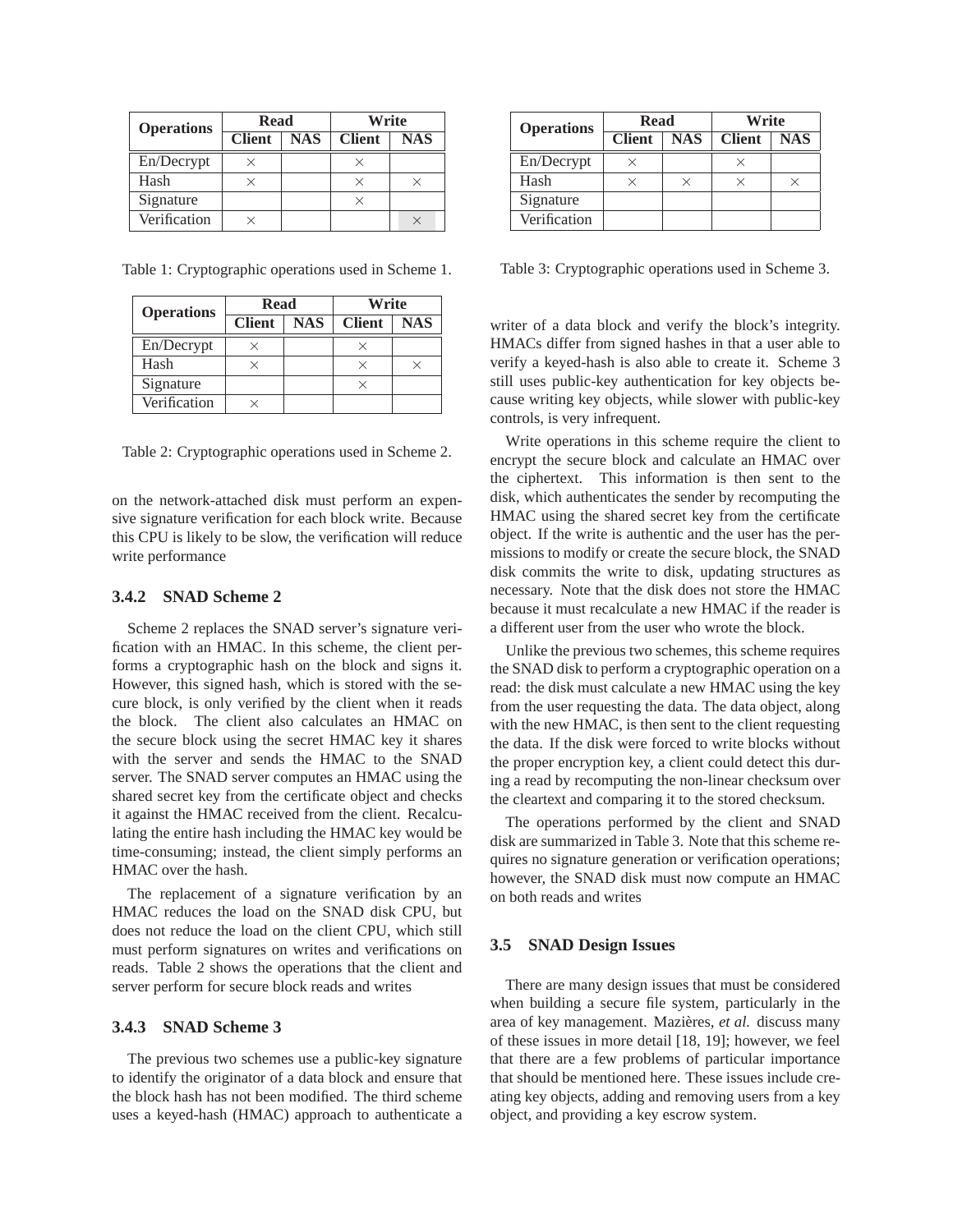| <b>Operations</b> | Read          |            | Write         |     |  |
|-------------------|---------------|------------|---------------|-----|--|
|                   | <b>Client</b> | <b>NAS</b> | <b>Client</b> | NAS |  |
| En/Decrypt        |               |            |               |     |  |
| Hash              |               |            |               |     |  |
| Signature         |               |            |               |     |  |
| Verification      |               |            |               |     |  |

Table 1: Cryptographic operations used in Scheme 1.

| <b>Operations</b> | Read          |            | Write         |            |  |
|-------------------|---------------|------------|---------------|------------|--|
|                   | <b>Client</b> | <b>NAS</b> | <b>Client</b> | <b>NAS</b> |  |
| En/Decrypt        |               |            |               |            |  |
| Hash              |               |            |               |            |  |
| Signature         |               |            |               |            |  |
| Verification      |               |            |               |            |  |

Table 2: Cryptographic operations used in Scheme 2.

on the network-attached disk must perform an expensive signature verification for each block write. Because this CPU is likely to be slow, the verification will reduce write performance

#### **3.4.2 SNAD Scheme 2**

Scheme 2 replaces the SNAD server's signature verification with an HMAC. In this scheme, the client performs a cryptographic hash on the block and signs it. However, this signed hash, which is stored with the secure block, is only verified by the client when it reads the block. The client also calculates an HMAC on the secure block using the secret HMAC key it shares with the server and sends the HMAC to the SNAD server. The SNAD server computes an HMAC using the shared secret key from the certificate object and checks it against the HMAC received from the client. Recalculating the entire hash including the HMAC key would be time-consuming; instead, the client simply performs an HMAC over the hash.

The replacement of a signature verification by an HMAC reduces the load on the SNAD disk CPU, but does not reduce the load on the client CPU, which still must perform signatures on writes and verifications on reads. Table 2 shows the operations that the client and server perform for secure block reads and writes

#### **3.4.3 SNAD Scheme 3**

The previous two schemes use a public-key signature to identify the originator of a data block and ensure that the block hash has not been modified. The third scheme uses a keyed-hash (HMAC) approach to authenticate a

|           |  | <b>Operations</b> | <b>Read</b>   |            | Write         |            |
|-----------|--|-------------------|---------------|------------|---------------|------------|
| <b>AS</b> |  |                   | <b>Client</b> | <b>NAS</b> | <b>Client</b> | <b>NAS</b> |
|           |  | En/Decrypt        |               |            |               |            |
| $\times$  |  | Hash              |               |            |               |            |
|           |  | Signature         |               |            |               |            |
| $\times$  |  | Verification      |               |            |               |            |

Table 3: Cryptographic operations used in Scheme 3.

 $\overline{\times}$  verify a keyed-hash is also able to create it. Scheme 3 writer of a data block and verify the block's integrity. HMACs differ from signed hashes in that a user able to still uses public-key authentication for key objects because writing key objects, while slower with public-key controls, is very infrequent.

> Write operations in this scheme require the client to encrypt the secure block and calculate an HMAC over the ciphertext. This information is then sent to the disk, which authenticates the sender by recomputing the HMAC using the shared secret key from the certificate object. If the write is authentic and the user has the permissions to modify or create the secure block, the SNAD disk commits the write to disk, updating structures as necessary. Note that the disk does not store the HMAC because it must recalculate a new HMAC if the reader is a different user from the user who wrote the block.

> Unlike the previous two schemes, this scheme requires the SNAD disk to perform a cryptographic operation on a read: the disk must calculate a new HMAC using the key from the user requesting the data. The data object, along with the new HMAC, is then sent to the client requesting the data. If the disk were forced to write blocks without the proper encryption key, a client could detect this during a read by recomputing the non-linear checksum over the cleartext and comparing it to the stored checksum.

> The operations performed by the client and SNAD disk are summarized in Table 3. Note that this scheme requires no signature generation or verification operations; however, the SNAD disk must now compute an HMAC on both reads and writes

#### **3.5 SNAD Design Issues**

There are many design issues that must be considered when building a secure file system, particularly in the area of key management. Mazières, et al. discuss many of these issues in more detail [18, 19]; however, we feel that there are a few problems of particular importance that should be mentioned here. These issues include creating key objects, adding and removing users from a key object, and providing a key escrow system.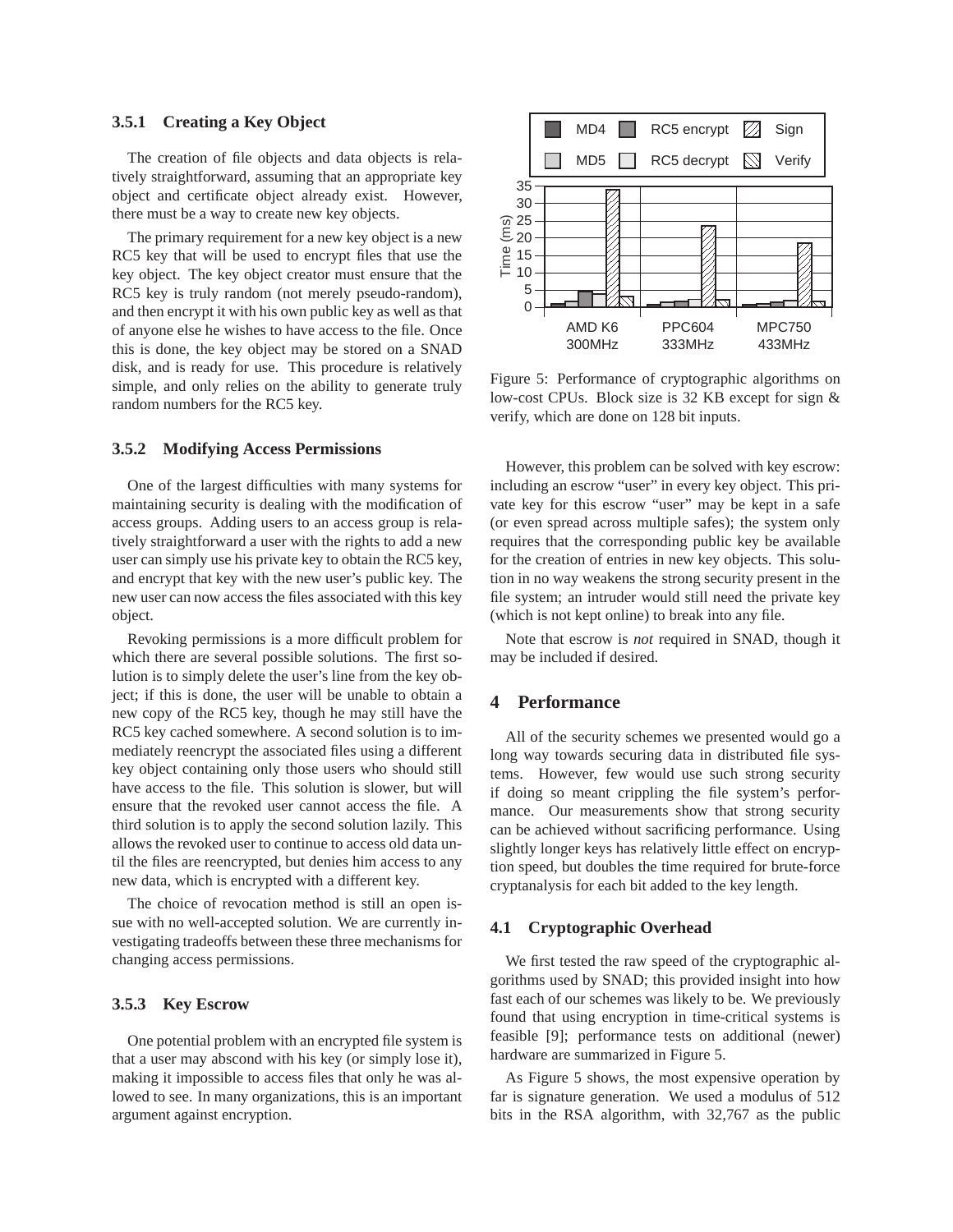#### **3.5.1 Creating a Key Object**

The creation of file objects and data objects is relatively straightforward, assuming that an appropriate key object and certificate object already exist. However, there must be a way to create new key objects.

The primary requirement for a new key object is a new RC5 key that will be used to encrypt files that use the key object. The key object creator must ensure that the RC5 key is truly random (not merely pseudo-random), and then encrypt it with his own public key as well as that of anyone else he wishes to have access to the file. Once this is done, the key object may be stored on a SNAD disk, and is ready for use. This procedure is relatively simple, and only relies on the ability to generate truly random numbers for the RC5 key.

#### **3.5.2 Modifying Access Permissions**

One of the largest difficulties with many systems for maintaining security is dealing with the modification of access groups. Adding users to an access group is relatively straightforward a user with the rights to add a new user can simply use his private key to obtain the RC5 key, and encrypt that key with the new user's public key. The new user can now access the files associated with this key object.

Revoking permissions is a more difficult problem for which there are several possible solutions. The first solution is to simply delete the user's line from the key object; if this is done, the user will be unable to obtain a new copy of the RC5 key, though he may still have the RC5 key cached somewhere. A second solution is to immediately reencrypt the associated files using a different key object containing only those users who should still have access to the file. This solution is slower, but will ensure that the revoked user cannot access the file. A third solution is to apply the second solution lazily. This allows the revoked user to continue to access old data until the files are reencrypted, but denies him access to any new data, which is encrypted with a different key.

The choice of revocation method is still an open issue with no well-accepted solution. We are currently investigating tradeoffs between these three mechanisms for changing access permissions.

#### **3.5.3 Key Escrow**

One potential problem with an encrypted file system is that a user may abscond with his key (or simply lose it), making it impossible to access files that only he was allowed to see. In many organizations, this is an important argument against encryption.



Figure 5: Performance of cryptographic algorithms on low-cost CPUs. Block size is 32 KB except for sign & verify, which are done on 128 bit inputs.

However, this problem can be solved with key escrow: including an escrow "user" in every key object. This private key for this escrow "user" may be kept in a safe (or even spread across multiple safes); the system only requires that the corresponding public key be available for the creation of entries in new key objects. This solution in no way weakens the strong security present in the file system; an intruder would still need the private key (which is not kept online) to break into any file.

Note that escrow is *not* required in SNAD, though it may be included if desired.

# **4 Performance**

All of the security schemes we presented would go a long way towards securing data in distributed file systems. However, few would use such strong security if doing so meant crippling the file system's performance. Our measurements show that strong security can be achieved without sacrificing performance. Using slightly longer keys has relatively little effect on encryption speed, but doubles the time required for brute-force cryptanalysis for each bit added to the key length.

#### **4.1 Cryptographic Overhead**

We first tested the raw speed of the cryptographic algorithms used by SNAD; this provided insight into how fast each of our schemes was likely to be. We previously found that using encryption in time-critical systems is feasible [9]; performance tests on additional (newer) hardware are summarized in Figure 5.

As Figure 5 shows, the most expensive operation by far is signature generation. We used a modulus of 512 bits in the RSA algorithm, with 32,767 as the public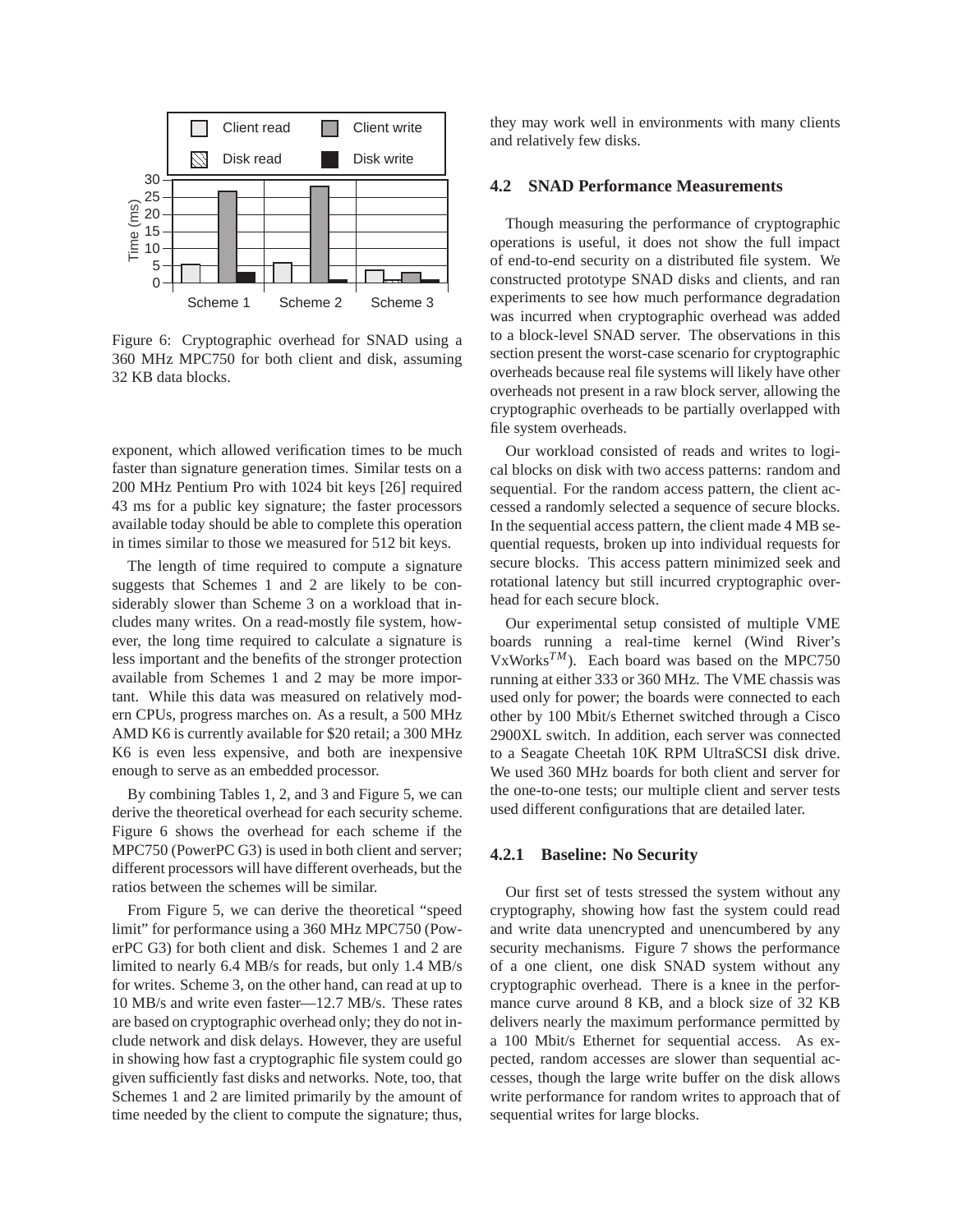

Figure 6: Cryptographic overhead for SNAD using a 360 MHz MPC750 for both client and disk, assuming 32 KB data blocks.

exponent, which allowed verification times to be much faster than signature generation times. Similar tests on a 200 MHz Pentium Pro with 1024 bit keys [26] required 43 ms for a public key signature; the faster processors available today should be able to complete this operation in times similar to those we measured for 512 bit keys.

The length of time required to compute a signature suggests that Schemes 1 and 2 are likely to be considerably slower than Scheme 3 on a workload that includes many writes. On a read-mostly file system, however, the long time required to calculate a signature is less important and the benefits of the stronger protection available from Schemes 1 and 2 may be more important. While this data was measured on relatively modern CPUs, progress marches on. As a result, a 500 MHz AMD K6 is currently available for \$20 retail; a 300 MHz K6 is even less expensive, and both are inexpensive enough to serve as an embedded processor.

By combining Tables 1, 2, and 3 and Figure 5, we can derive the theoretical overhead for each security scheme. Figure 6 shows the overhead for each scheme if the MPC750 (PowerPC G3) is used in both client and server; different processors will have different overheads, but the ratios between the schemes will be similar.

From Figure 5, we can derive the theoretical "speed limit" for performance using a 360 MHz MPC750 (PowerPC G3) for both client and disk. Schemes 1 and 2 are limited to nearly 6.4 MB/s for reads, but only 1.4 MB/s for writes. Scheme 3, on the other hand, can read at up to 10 MB/s and write even faster—12.7 MB/s. These rates are based on cryptographic overhead only; they do not include network and disk delays. However, they are useful in showing how fast a cryptographic file system could go given sufficiently fast disks and networks. Note, too, that Schemes 1 and 2 are limited primarily by the amount of time needed by the client to compute the signature; thus, they may work well in environments with many clients and relatively few disks.

## **4.2 SNAD Performance Measurements**

Though measuring the performance of cryptographic operations is useful, it does not show the full impact of end-to-end security on a distributed file system. We constructed prototype SNAD disks and clients, and ran experiments to see how much performance degradation was incurred when cryptographic overhead was added to a block-level SNAD server. The observations in this section present the worst-case scenario for cryptographic overheads because real file systems will likely have other overheads not present in a raw block server, allowing the cryptographic overheads to be partially overlapped with file system overheads.

Our workload consisted of reads and writes to logical blocks on disk with two access patterns: random and sequential. For the random access pattern, the client accessed a randomly selected a sequence of secure blocks. In the sequential access pattern, the client made 4 MB sequential requests, broken up into individual requests for secure blocks. This access pattern minimized seek and rotational latency but still incurred cryptographic overhead for each secure block.

Our experimental setup consisted of multiple VME boards running a real-time kernel (Wind River's VxWorks*TM*). Each board was based on the MPC750 running at either 333 or 360 MHz. The VME chassis was used only for power; the boards were connected to each other by 100 Mbit/s Ethernet switched through a Cisco 2900XL switch. In addition, each server was connected to a Seagate Cheetah 10K RPM UltraSCSI disk drive. We used 360 MHz boards for both client and server for the one-to-one tests; our multiple client and server tests used different configurations that are detailed later.

#### **4.2.1 Baseline: No Security**

Our first set of tests stressed the system without any cryptography, showing how fast the system could read and write data unencrypted and unencumbered by any security mechanisms. Figure 7 shows the performance of a one client, one disk SNAD system without any cryptographic overhead. There is a knee in the performance curve around 8 KB, and a block size of 32 KB delivers nearly the maximum performance permitted by a 100 Mbit/s Ethernet for sequential access. As expected, random accesses are slower than sequential accesses, though the large write buffer on the disk allows write performance for random writes to approach that of sequential writes for large blocks.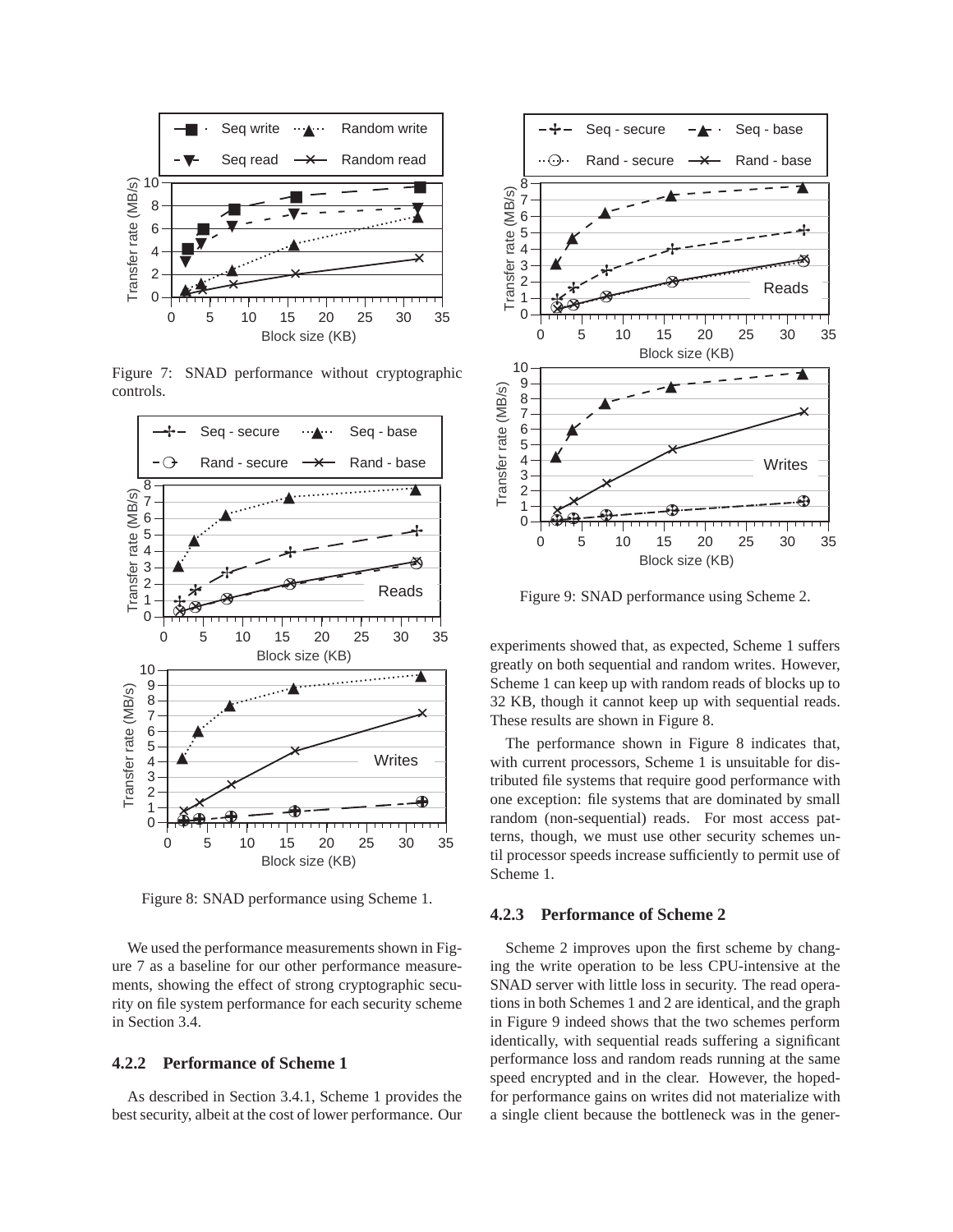

Figure 7: SNAD performance without cryptographic controls.



Figure 8: SNAD performance using Scheme 1.

We used the performance measurements shown in Figure 7 as a baseline for our other performance measurements, showing the effect of strong cryptographic security on file system performance for each security scheme in Section 3.4.

#### **4.2.2 Performance of Scheme 1**

As described in Section 3.4.1, Scheme 1 provides the best security, albeit at the cost of lower performance. Our



Figure 9: SNAD performance using Scheme 2.

experiments showed that, as expected, Scheme 1 suffers greatly on both sequential and random writes. However, Scheme 1 can keep up with random reads of blocks up to 32 KB, though it cannot keep up with sequential reads. These results are shown in Figure 8.

The performance shown in Figure 8 indicates that, with current processors, Scheme 1 is unsuitable for distributed file systems that require good performance with one exception: file systems that are dominated by small random (non-sequential) reads. For most access patterns, though, we must use other security schemes until processor speeds increase sufficiently to permit use of Scheme 1.

# **4.2.3 Performance of Scheme 2**

Scheme 2 improves upon the first scheme by changing the write operation to be less CPU-intensive at the SNAD server with little loss in security. The read operations in both Schemes 1 and 2 are identical, and the graph in Figure 9 indeed shows that the two schemes perform identically, with sequential reads suffering a significant performance loss and random reads running at the same speed encrypted and in the clear. However, the hopedfor performance gains on writes did not materialize with a single client because the bottleneck was in the gener-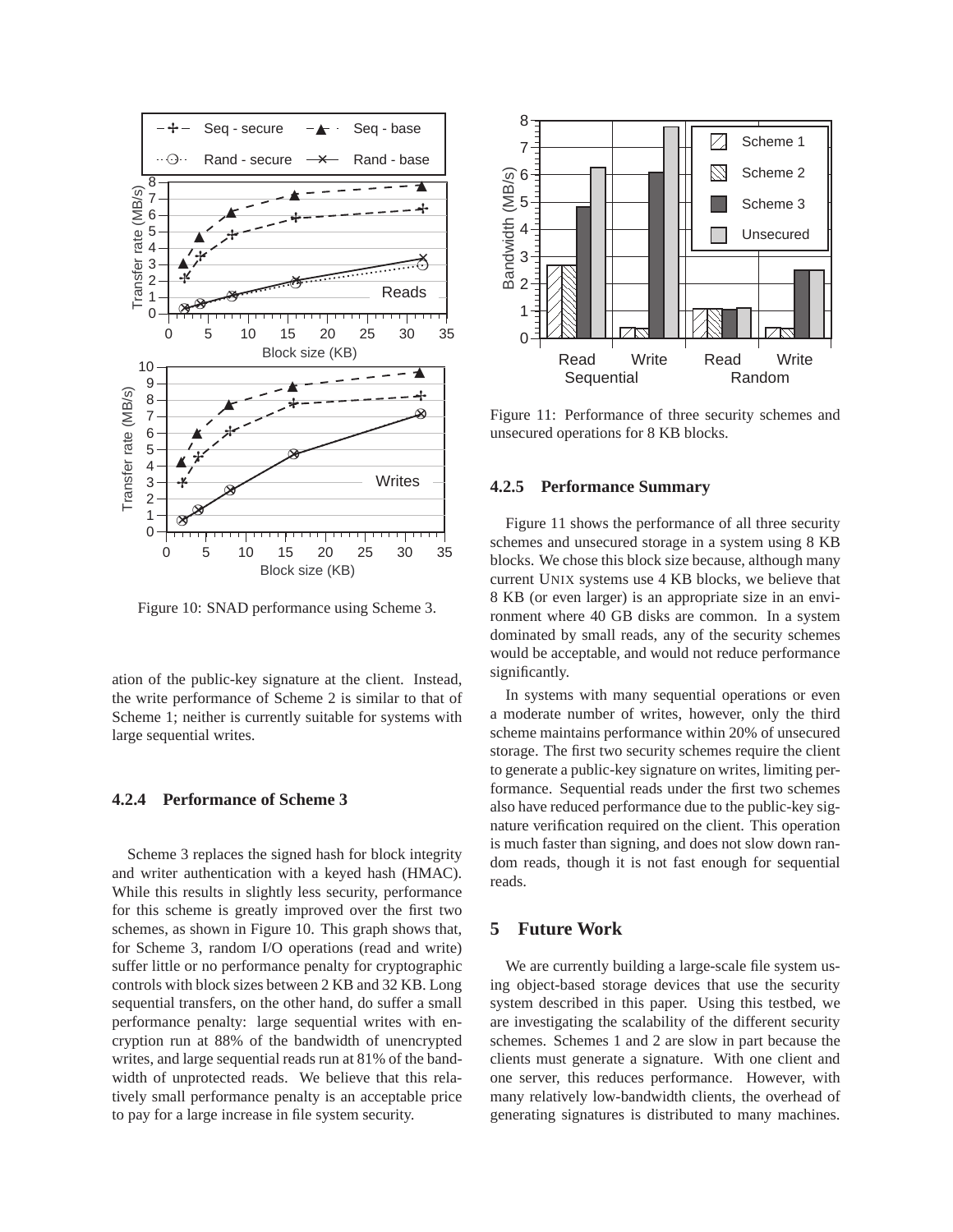

Figure 10: SNAD performance using Scheme 3.

ation of the public-key signature at the client. Instead, the write performance of Scheme 2 is similar to that of Scheme 1; neither is currently suitable for systems with large sequential writes.

## **4.2.4 Performance of Scheme 3**

Scheme 3 replaces the signed hash for block integrity and writer authentication with a keyed hash (HMAC). While this results in slightly less security, performance for this scheme is greatly improved over the first two schemes, as shown in Figure 10. This graph shows that, for Scheme 3, random I/O operations (read and write) suffer little or no performance penalty for cryptographic controls with block sizes between 2 KB and 32 KB. Long sequential transfers, on the other hand, do suffer a small performance penalty: large sequential writes with encryption run at 88% of the bandwidth of unencrypted writes, and large sequential reads run at 81% of the bandwidth of unprotected reads. We believe that this relatively small performance penalty is an acceptable price to pay for a large increase in file system security.



Figure 11: Performance of three security schemes and unsecured operations for 8 KB blocks.

## **4.2.5 Performance Summary**

Figure 11 shows the performance of all three security schemes and unsecured storage in a system using 8 KB blocks. We chose this block size because, although many current UNIX systems use 4 KB blocks, we believe that 8 KB (or even larger) is an appropriate size in an environment where 40 GB disks are common. In a system dominated by small reads, any of the security schemes would be acceptable, and would not reduce performance significantly.

In systems with many sequential operations or even a moderate number of writes, however, only the third scheme maintains performance within 20% of unsecured storage. The first two security schemes require the client to generate a public-key signature on writes, limiting performance. Sequential reads under the first two schemes also have reduced performance due to the public-key signature verification required on the client. This operation is much faster than signing, and does not slow down random reads, though it is not fast enough for sequential reads.

# **5 Future Work**

We are currently building a large-scale file system using object-based storage devices that use the security system described in this paper. Using this testbed, we are investigating the scalability of the different security schemes. Schemes 1 and 2 are slow in part because the clients must generate a signature. With one client and one server, this reduces performance. However, with many relatively low-bandwidth clients, the overhead of generating signatures is distributed to many machines.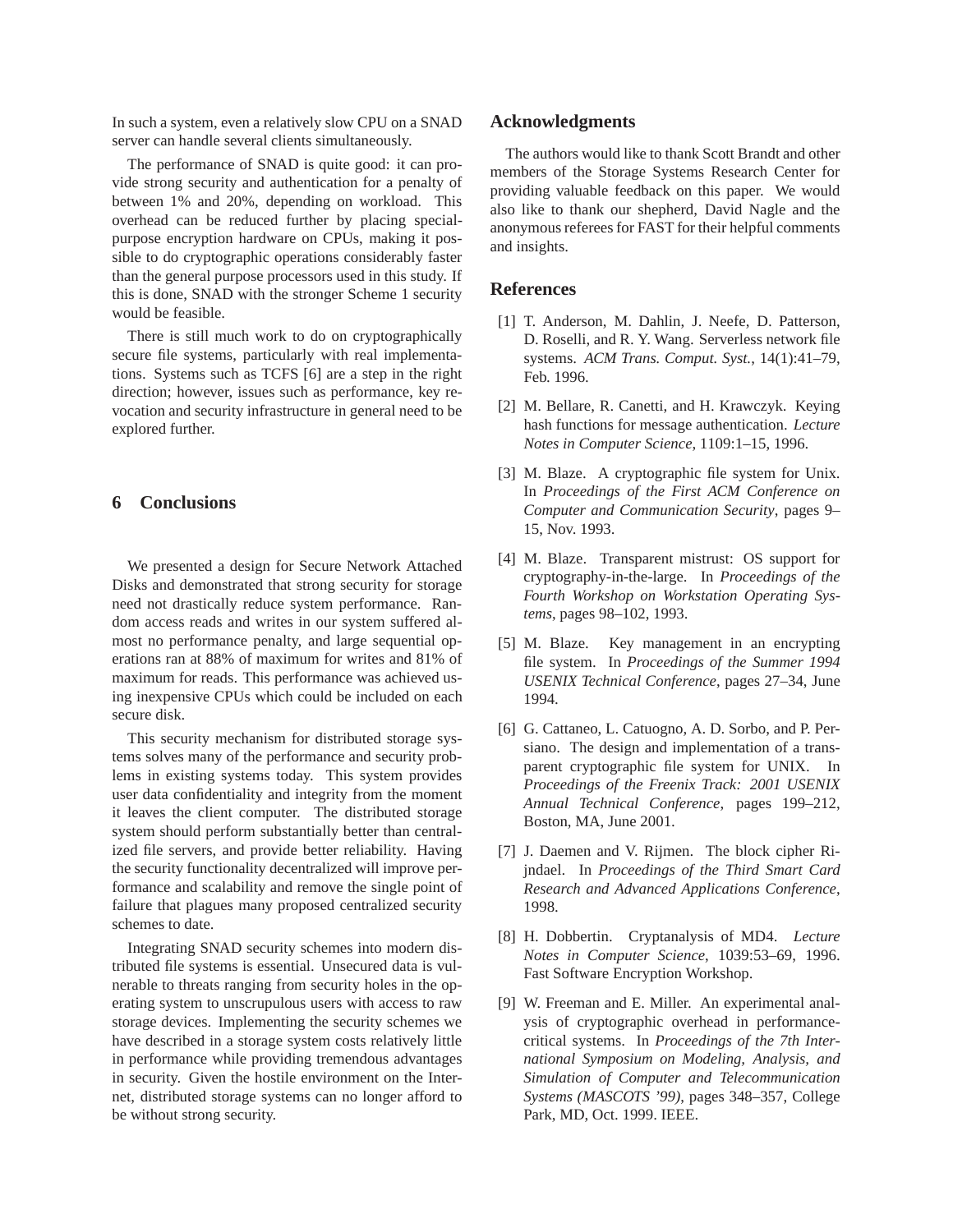In such a system, even a relatively slow CPU on a SNAD server can handle several clients simultaneously.

The performance of SNAD is quite good: it can provide strong security and authentication for a penalty of between 1% and 20%, depending on workload. This overhead can be reduced further by placing specialpurpose encryption hardware on CPUs, making it possible to do cryptographic operations considerably faster than the general purpose processors used in this study. If this is done, SNAD with the stronger Scheme 1 security would be feasible.

There is still much work to do on cryptographically secure file systems, particularly with real implementations. Systems such as TCFS [6] are a step in the right direction; however, issues such as performance, key revocation and security infrastructure in general need to be explored further.

# **6 Conclusions**

We presented a design for Secure Network Attached Disks and demonstrated that strong security for storage need not drastically reduce system performance. Random access reads and writes in our system suffered almost no performance penalty, and large sequential operations ran at 88% of maximum for writes and 81% of maximum for reads. This performance was achieved using inexpensive CPUs which could be included on each secure disk.

This security mechanism for distributed storage systems solves many of the performance and security problems in existing systems today. This system provides user data confidentiality and integrity from the moment it leaves the client computer. The distributed storage system should perform substantially better than centralized file servers, and provide better reliability. Having the security functionality decentralized will improve performance and scalability and remove the single point of failure that plagues many proposed centralized security schemes to date.

Integrating SNAD security schemes into modern distributed file systems is essential. Unsecured data is vulnerable to threats ranging from security holes in the operating system to unscrupulous users with access to raw storage devices. Implementing the security schemes we have described in a storage system costs relatively little in performance while providing tremendous advantages in security. Given the hostile environment on the Internet, distributed storage systems can no longer afford to be without strong security.

## **Acknowledgments**

The authors would like to thank Scott Brandt and other members of the Storage Systems Research Center for providing valuable feedback on this paper. We would also like to thank our shepherd, David Nagle and the anonymous referees for FAST for their helpful comments and insights.

## **References**

- [1] T. Anderson, M. Dahlin, J. Neefe, D. Patterson, D. Roselli, and R. Y. Wang. Serverless network file systems. *ACM Trans. Comput. Syst.*, 14(1):41–79, Feb. 1996.
- [2] M. Bellare, R. Canetti, and H. Krawczyk. Keying hash functions for message authentication. *Lecture Notes in Computer Science*, 1109:1–15, 1996.
- [3] M. Blaze. A cryptographic file system for Unix. In *Proceedings of the First ACM Conference on Computer and Communication Security*, pages 9– 15, Nov. 1993.
- [4] M. Blaze. Transparent mistrust: OS support for cryptography-in-the-large. In *Proceedings of the Fourth Workshop on Workstation Operating Systems*, pages 98–102, 1993.
- [5] M. Blaze. Key management in an encrypting file system. In *Proceedings of the Summer 1994 USENIX Technical Conference*, pages 27–34, June 1994.
- [6] G. Cattaneo, L. Catuogno, A. D. Sorbo, and P. Persiano. The design and implementation of a transparent cryptographic file system for UNIX. In *Proceedings of the Freenix Track: 2001 USENIX Annual Technical Conference*, pages 199–212, Boston, MA, June 2001.
- [7] J. Daemen and V. Rijmen. The block cipher Rijndael. In *Proceedings of the Third Smart Card Research and Advanced Applications Conference*, 1998.
- [8] H. Dobbertin. Cryptanalysis of MD4. *Lecture Notes in Computer Science*, 1039:53–69, 1996. Fast Software Encryption Workshop.
- [9] W. Freeman and E. Miller. An experimental analysis of cryptographic overhead in performancecritical systems. In *Proceedings of the 7th International Symposium on Modeling, Analysis, and Simulation of Computer and Telecommunication Systems (MASCOTS '99)*, pages 348–357, College Park, MD, Oct. 1999. IEEE.